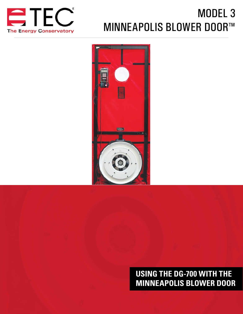

# MODEL 3 MINNEAPOLIS BLOWER DOOR™



# **USING THE DG-700 WITH THE MINNEAPOLIS BLOWER DOOR**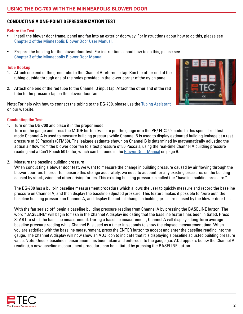### <span id="page-1-0"></span>**CONDUCTING A ONE-POINT DEPRESSURIZATION TEST**

#### **Before the Test**

- Install the blower door frame, panel and fan into an exterior doorway. For instructions about how to do this, please see [Chapter 2 of the Minneapolis Blower Door User Manual.](http://energyconservatory.com/wp-content/uploads/2017/08/Blower-Door-Manual.pdf)
- Prepare the building for the blower door test. For instructions about how to do this, please see [Chapter 3 of the Minneapolis Blower Door Manual.](http://energyconservatory.com/wp-content/uploads/2017/08/Blower-Door-Manual.pdf)

#### **Tube Hookup**

- 1. Attach one end of the green tube to the Channel A reference tap. Run the other end of the tubing outside through one of the holes provided in the lower corner of the nylon panel.
- 2. Attach one end of the red tube to the Channel B input tap. Attach the other end of the red tube to the pressure tap on the blower door fan.

Note: For help with how to connect the tubing to the DG-700, please use the [Tubing Assistant](http://energyconservatory.com/tubing-assistant/) on our website.



#### **Conducting the Test**

1. Turn on the DG-700 and place it in the proper mode

Turn on the gauge and press the MODE button twice to put the gauge into the PR/ FL @50 mode. In this specialized test mode Channel A is used to measure building pressure while Channel B is used to display estimated building leakage at a test pressure of 50 Pascals (CFM50). The leakage estimate shown on Channel B is determined by mathematically adjusting the actual air flow from the blower door fan to a test pressure of 50 Pascals, using the real-time Channel A building pressure reading and a Can't Reach 50 factor, which can be found in the [Blower Door Manual](http://energyconservatory.com/wp-content/uploads/2017/08/Blower-Door-Manual.pdf) on page 9.

2. Measure the baseline building pressure

When conducting a blower door test, we want to measure the change in building pressure caused by air flowing through the blower door fan. In order to measure this change accurately, we need to account for any existing pressures on the building caused by stack, wind and other driving forces. This existing building pressure is called the "baseline building pressure."

The DG-700 has a built-in baseline measurement procedure which allows the user to quickly measure and record the baseline pressure on Channel A, and then display the baseline adjusted pressure. This feature makes it possible to "zero out" the baseline building pressure on Channel A, and display the actual change in building pressure caused by the blower door fan.

With the fan sealed off, begin a baseline building pressure reading from Channel A by pressing the BASELINE button. The word "BASELINE" will begin to flash in the Channel A display indicating that the baseline feature has been initiated. Press START to start the baseline measurement. During a baseline measurement, Channel A will display a long-term average baseline pressure reading while Channel B is used as a timer in seconds to show the elapsed measurement time. When you are satisfied with the baseline measurement, press the ENTER button to accept and enter the baseline reading into the gauge. The Channel A display will now show an ADJ icon to indicate that it is displaying a baseline adjusted building pressure value. Note: Once a baseline measurement has been taken and entered into the gauge (i.e. ADJ appears below the Channel A reading), a new baseline measurement procedure can be initiated by pressing the BASELINE button.

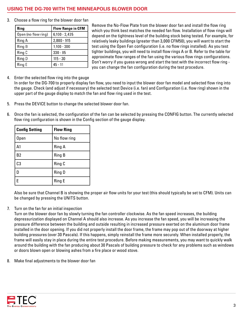## **USING THE DG-700 WITH THE MINNEAPOLIS BLOWER DOOR**

3. Choose a flow ring for the blower door fan

| Ring                | <b>Flow Range in CFM</b> |
|---------------------|--------------------------|
| Open (no flow ring) | $6,100 - 2,435$          |
| Ring A              | 2,800 - 915              |
| Ring B              | $1,100 - 300$            |
| Ring C              | $330 - 85$               |
| Ring D              | $115 - 30$               |
| Ring E              | 45 - 11                  |

Remove the No-Flow Plate from the blower door fan and install the flow ring which you think best matches the needed fan flow. Installation of flow rings will depend on the tightness level of the building stock being tested. For example, for relatively leaky buildings (greater than 3,000 CFM50), you will want to start the test using the Open Fan configuration (i.e. no flow rings installed). As you test tighter buildings, you will need to install flow rings A or B. Refer to the table for approximate flow ranges of the fan using the various flow rings configurations. Don't worry if you guess wrong and start the test with the incorrect flow ring you can change the fan configuration during the test procedure.

4. Enter the selected flow ring into the gauge

In order for the DG-700 to properly display fan flow, you need to input the blower door fan model and selected flow ring into the gauge. Check (and adjust if necessary) the selected test Device (i.e. fan) and Configuration (i.e. flow ring) shown in the upper part of the gauge display to match the fan and flow ring used in the test.

- 5. Press the DEVICE button to change the selected blower door fan.
- 6. Once the fan is selected, the configuration of the fan can be selected by pressing the CONFIG button. The currently selected flow ring configuration is shown in the Config section of the gauge display.

| <b>Config Setting</b> | <b>Flow Ring</b> |
|-----------------------|------------------|
| <b>Open</b>           | No flow ring     |
| A <sub>1</sub>        | Ring A           |
| B <sub>2</sub>        | <b>Ring B</b>    |
| C <sub>3</sub>        | Ring C           |
|                       | <b>Ring D</b>    |
| Е                     | <b>Ring E</b>    |

Also be sure that Channel B is showing the proper air flow units for your test (this should typically be set to CFM). Units can be changed by pressing the UNITS button.

7. Turn on the fan for an initial inspection

Turn on the blower door fan by slowly turning the fan controller clockwise. As the fan speed increases, the building depressurization displayed on Channel A should also increase. As you increase the fan speed, you will be increasing the pressure difference between the building and outside resulting in increased pressure exerted on the aluminum door frame installed in the door opening. If you did not properly install the door frame, the frame may pop out of the doorway at higher building pressures (over 30 Pascals). If this happens, simply reinstall the frame more securely. When installed properly, the frame will easily stay in place during the entire test procedure. Before making measurements, you may want to quickly walk around the building with the fan producing about 30 Pascals of building pressure to check for any problems such as windows or doors blown open or blowing ashes from a fire place or wood stove.

8. Make final adjustments to the blower door fan

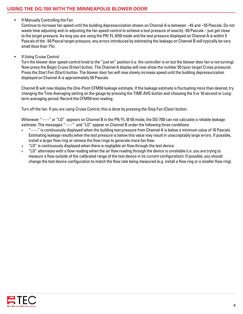• If Manually Controlling the Fan

Continue to increase fan speed until the building depressurization shown on Channel A is between –45 and –55 Pascals. Do not waste time adjusting and re-adjusting the fan speed control to achieve a test pressure of exactly -50 Pascals – just get close to the target pressure. As long you are using the PR/ FL @50 mode and the test pressure displayed on Channel A is within 5 Pascals of the -50 Pascal target pressure, any errors introduced by estimating the leakage on Channel B will typically be very small (less than 1%).

• If Using Cruise Control

Turn the blower door speed control knob to the "just on" position (i.e. the controller is on but the blower door fan is not turning). Now press the Begin Cruise (Enter) button. The Channel A display will now show the number 50 (your target Cruise pressure). Press the Start Fan (Start) button. The blower door fan will now slowly increase speed until the building depressurization displayed on Channel A is approximately 50 Pascals.

Channel B will now display the One-Point CFM50 leakage estimate. If the leakage estimate is fluctuating more than desired, try changing the Time Averaging setting on the gauge by pressing the TIME AVG button and choosing the 5 or 10 second or Longterm averaging period. Record the CFM50 test reading.

Turn off the fan. If you are using Cruise Control, this is done by pressing the Stop Fan (Clear) button.

Whenever "-----" or "LO" appears on Channel B in the PR/ FL @ 50 mode, the DG-700 can not calculate a reliable leakage estimate. The messages "-----" and "LO" appear on Channel B under the following three conditions

- » "-----" is continuously displayed when the building test pressure from Channel A is below a minimum value of 10 Pascals. Estimating leakage results when the test pressure is below this value may result in unacceptably large errors. If possible, install a larger flow ring or remove the flow rings to generate more fan flow.
- » "LO" is continuously displayed when there is negligible air flow through the test device.
- » "LO" alternates with a flow reading when the air flow reading through the device is unreliable (i.e. you are trying to measure a flow outside of the calibrated range of the test device in its current configuration). If possible, you should change the test device configuration to match the flow rate being measured (e.g. install a flow ring or a smaller flow ring).

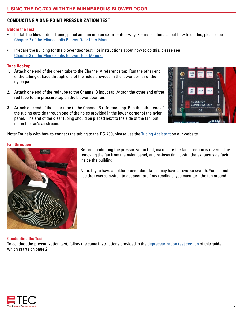# **CONDUCTING A ONE-POINT PRESSURIZATION TEST**

#### **Before the Test**

- Install the blower door frame, panel and fan into an exterior doorway. For instructions about how to do this, please see [Chapter 2 of the Minneapolis Blower Door User Manual.](http://energyconservatory.com/wp-content/uploads/2017/08/Blower-Door-Manual.pdf)
- Prepare the building for the blower door test. For instructions about how to do this, please see [Chapter 3 of the Minneapolis Blower Door Manual.](http://energyconservatory.com/wp-content/uploads/2017/08/Blower-Door-Manual.pdf)

#### **Tube Hookup**

- 1. Attach one end of the green tube to the Channel A reference tap. Run the other end of the tubing outside through one of the holes provided in the lower corner of the nylon panel.
- 2. Attach one end of the red tube to the Channel B input tap. Attach the other end of the red tube to the pressure tap on the blower door fan.
- 3. Attach one end of the clear tube to the Channel B reference tap. Run the other end of the tubing outside through one of the holes provided in the lower corner of the nylon panel. The end of the clear tubing should be placed next to the side of the fan, but not in the fan's airstream.



Note: For help with how to connect the tubing to the DG-700, please use the [Tubing Assistant](http://energyconservatory.com/tubing-assistant/) on our website.

#### **Fan Direction**



Before conducting the pressurization test, make sure the fan direction is reversed by removing the fan from the nylon panel, and re-inserting it with the exhaust side facing inside the building.

Note: If you have an older blower door fan, it may have a reverse switch. You cannot use the reverse switch to get accurate flow readings, you must turn the fan around.

#### **Conducting the Test**

To conduct the pressurization test, follow the same instructions provided in the [depressurization test section](#page-1-0) of this guide, which starts on page 2.